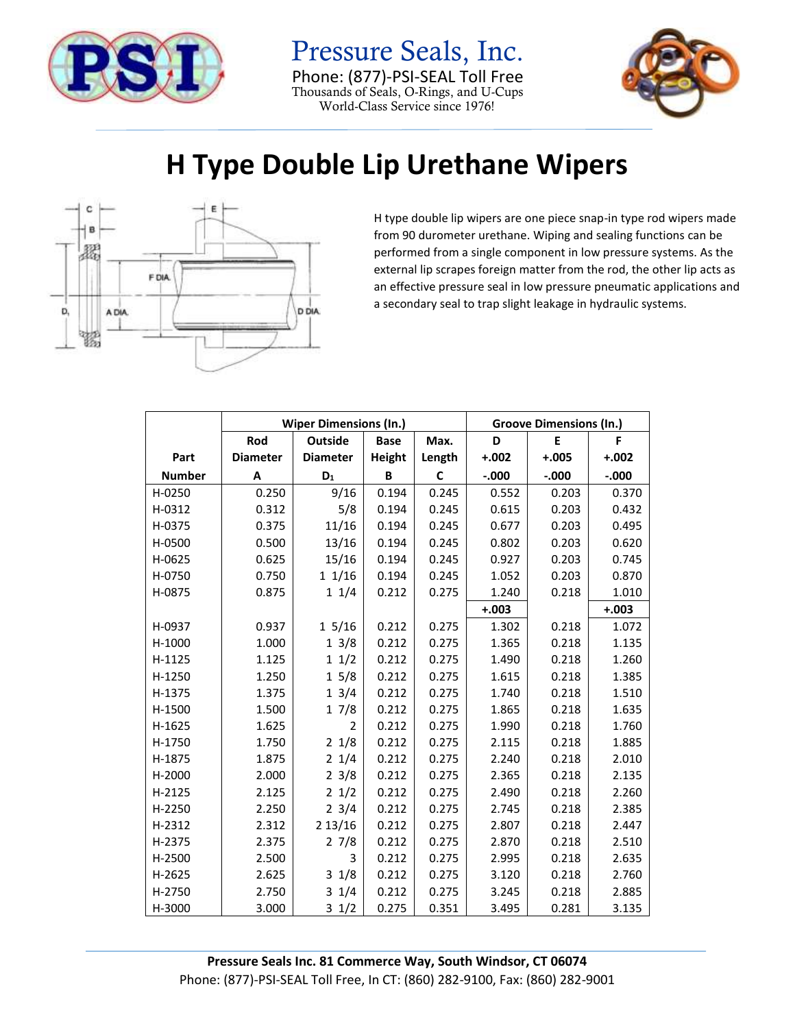

Pressure Seals, Inc. Phone: (877)-PSI-SEAL Toll Free Thousands of Seals, O-Rings, and U-Cups World-Class Service since 1976!



## **H Type Double Lip Urethane Wipers**



H type double lip wipers are one piece snap-in type rod wipers made from 90 durometer urethane. Wiping and sealing functions can be performed from a single component in low pressure systems. As the external lip scrapes foreign matter from the rod, the other lip acts as an effective pressure seal in low pressure pneumatic applications and a secondary seal to trap slight leakage in hydraulic systems.

|               | <b>Wiper Dimensions (In.)</b> |                 |               |        | <b>Groove Dimensions (In.)</b> |         |         |
|---------------|-------------------------------|-----------------|---------------|--------|--------------------------------|---------|---------|
|               | Rod                           | <b>Outside</b>  | <b>Base</b>   | Max.   | D                              | E       | F       |
| Part          | <b>Diameter</b>               | <b>Diameter</b> | <b>Height</b> | Length | $+.002$                        | $+.005$ | $+.002$ |
| <b>Number</b> | Α                             | $D_1$           | В             | C      | $-0.000$                       | $-.000$ | $-.000$ |
| H-0250        | 0.250                         | 9/16            | 0.194         | 0.245  | 0.552                          | 0.203   | 0.370   |
| H-0312        | 0.312                         | 5/8             | 0.194         | 0.245  | 0.615                          | 0.203   | 0.432   |
| H-0375        | 0.375                         | 11/16           | 0.194         | 0.245  | 0.677                          | 0.203   | 0.495   |
| H-0500        | 0.500                         | 13/16           | 0.194         | 0.245  | 0.802                          | 0.203   | 0.620   |
| H-0625        | 0.625                         | 15/16           | 0.194         | 0.245  | 0.927                          | 0.203   | 0.745   |
| H-0750        | 0.750                         | 11/16           | 0.194         | 0.245  | 1.052                          | 0.203   | 0.870   |
| H-0875        | 0.875                         | 11/4            | 0.212         | 0.275  | 1.240                          | 0.218   | 1.010   |
|               |                               |                 |               |        | $+.003$                        |         | $+.003$ |
| H-0937        | 0.937                         | 15/16           | 0.212         | 0.275  | 1.302                          | 0.218   | 1.072   |
| H-1000        | 1.000                         | 13/8            | 0.212         | 0.275  | 1.365                          | 0.218   | 1.135   |
| H-1125        | 1.125                         | 11/2            | 0.212         | 0.275  | 1.490                          | 0.218   | 1.260   |
| H-1250        | 1.250                         | 15/8            | 0.212         | 0.275  | 1.615                          | 0.218   | 1.385   |
| H-1375        | 1.375                         | 13/4            | 0.212         | 0.275  | 1.740                          | 0.218   | 1.510   |
| H-1500        | 1.500                         | 17/8            | 0.212         | 0.275  | 1.865                          | 0.218   | 1.635   |
| H-1625        | 1.625                         | $\overline{2}$  | 0.212         | 0.275  | 1.990                          | 0.218   | 1.760   |
| H-1750        | 1.750                         | 21/8            | 0.212         | 0.275  | 2.115                          | 0.218   | 1.885   |
| H-1875        | 1.875                         | 21/4            | 0.212         | 0.275  | 2.240                          | 0.218   | 2.010   |
| H-2000        | 2.000                         | $2 \frac{3}{8}$ | 0.212         | 0.275  | 2.365                          | 0.218   | 2.135   |
| H-2125        | 2.125                         | 21/2            | 0.212         | 0.275  | 2.490                          | 0.218   | 2.260   |
| H-2250        | 2.250                         | $2 \frac{3}{4}$ | 0.212         | 0.275  | 2.745                          | 0.218   | 2.385   |
| H-2312        | 2.312                         | 2 13/16         | 0.212         | 0.275  | 2.807                          | 0.218   | 2.447   |
| H-2375        | 2.375                         | 27/8            | 0.212         | 0.275  | 2.870                          | 0.218   | 2.510   |
| H-2500        | 2.500                         | 3               | 0.212         | 0.275  | 2.995                          | 0.218   | 2.635   |
| H-2625        | 2.625                         | 31/8            | 0.212         | 0.275  | 3.120                          | 0.218   | 2.760   |
| H-2750        | 2.750                         | $3 \t1/4$       | 0.212         | 0.275  | 3.245                          | 0.218   | 2.885   |
| H-3000        | 3.000                         | $3 \frac{1}{2}$ | 0.275         | 0.351  | 3.495                          | 0.281   | 3.135   |